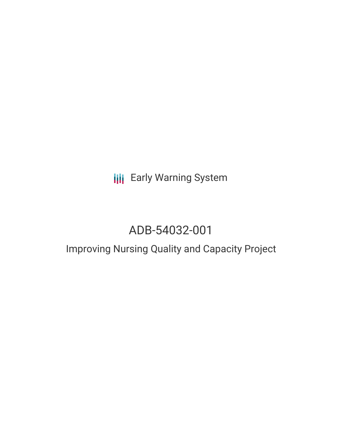**III** Early Warning System

# ADB-54032-001

# Improving Nursing Quality and Capacity Project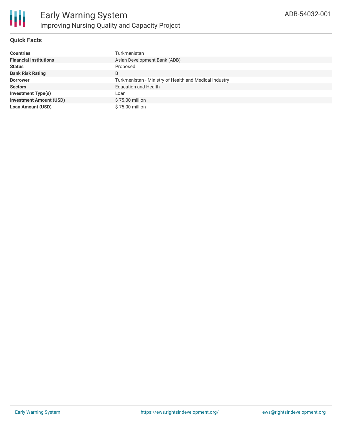

# **Quick Facts**

| <b>Countries</b>               | Turkmenistan                                           |
|--------------------------------|--------------------------------------------------------|
| <b>Financial Institutions</b>  | Asian Development Bank (ADB)                           |
| <b>Status</b>                  | Proposed                                               |
| <b>Bank Risk Rating</b>        | B                                                      |
| <b>Borrower</b>                | Turkmenistan - Ministry of Health and Medical Industry |
| <b>Sectors</b>                 | <b>Education and Health</b>                            |
| <b>Investment Type(s)</b>      | Loan                                                   |
| <b>Investment Amount (USD)</b> | \$75.00 million                                        |
| <b>Loan Amount (USD)</b>       | \$75,00 million                                        |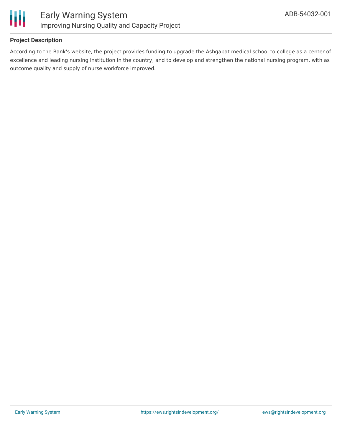

# **Project Description**

According to the Bank's website, the project provides funding to upgrade the Ashgabat medical school to college as a center of excellence and leading nursing institution in the country, and to develop and strengthen the national nursing program, with as outcome quality and supply of nurse workforce improved.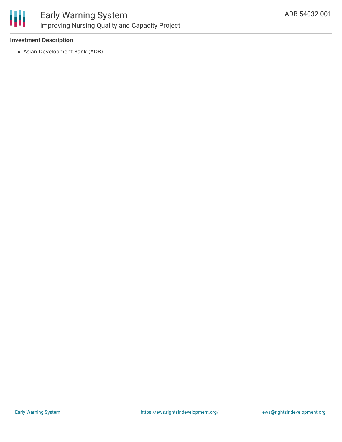

## **Investment Description**

Asian Development Bank (ADB)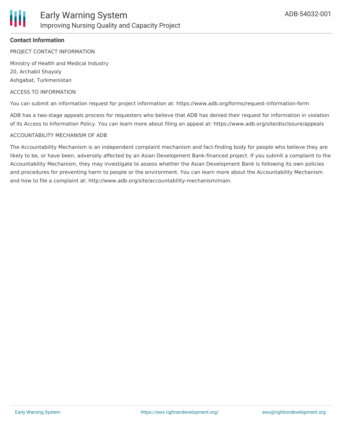

### **Contact Information**

PROJECT CONTACT INFORMATION

Ministry of Health and Medical Industry 20, Archabil Shayoly Ashgabat, Turkmenistan

#### ACCESS TO INFORMATION

You can submit an information request for project information at: https://www.adb.org/forms/request-information-form

ADB has a two-stage appeals process for requesters who believe that ADB has denied their request for information in violation of its Access to Information Policy. You can learn more about filing an appeal at: https://www.adb.org/site/disclosure/appeals

#### ACCOUNTABILITY MECHANISM OF ADB

The Accountability Mechanism is an independent complaint mechanism and fact-finding body for people who believe they are likely to be, or have been, adversely affected by an Asian Development Bank-financed project. If you submit a complaint to the Accountability Mechanism, they may investigate to assess whether the Asian Development Bank is following its own policies and procedures for preventing harm to people or the environment. You can learn more about the Accountability Mechanism and how to file a complaint at: http://www.adb.org/site/accountability-mechanism/main.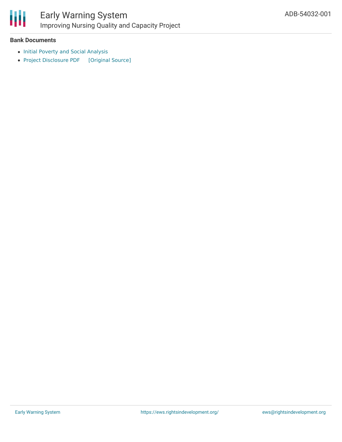

# Early Warning System Improving Nursing Quality and Capacity Project

## **Bank Documents**

- Initial Poverty and Social [Analysis](https://www.adb.org/sites/default/files/project-documents/54032/54032-001-ipsa-en.pdf)
- Project [Disclosure](https://ewsdata.rightsindevelopment.org/files/documents/01/ADB-54032-001.pdf) PDF [\[Original](https://www.adb.org/printpdf/projects/54032-001/main) Source]